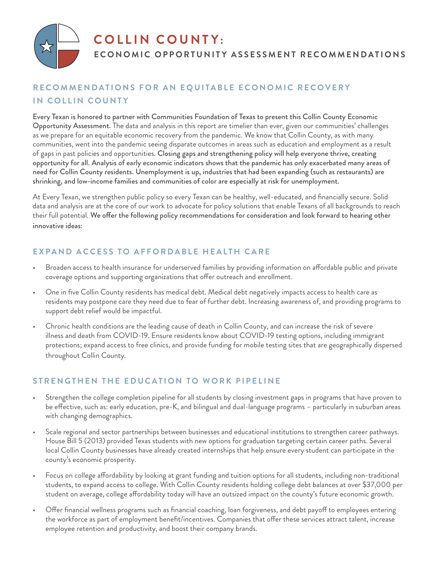

# **COLLIN COUNTY:**

# **ECONOMIC OPPORTUNITY ASSESSMENT RECOMMENDATIONS**

# **RECOMMENDATIONS FOR AN EQUITABLE ECONOMIC RECOVERY IN COLLIN COUNTY**

Every Texan is honored to partner with Communities Foundation of Texas to present this Collin County Economic Opportunity Assessment. The data and analysis in this report are timelier than ever, given our communities' challenges as we prepare for an equitable economic recovery from the pandemic. We know that Collin County, as with many communities, went into the pandemic seeing disparate outcomes in areas such as education and employment as a result of gaps in past policies and opportunities. Closing gaps and strengthening policy will help everyone thrive, creating opportunity for all. Analysis of early economic indicators shows that the pandemic has only exacerbated many areas of need for Collin County residents. Unemployment is up, industries that had been expanding (such as restaurants) are shrinking, and low-income families and communities of color are especially at risk for unemployment.

At Every Texan, we strengthen public policy so every Texan can be healthy, well-educated, and financially secure. Solid data and analysis are at the core of our work to advocate for policy solutions that enable Texans of all backgrounds to reach their full potential. We offer the following policy recommendations for consideration and look forward to hearing other innovative ideas:

# **EXPAND ACCESS TO AFFORDABLE HEALTH CARE**

- Broaden access to health insurance for underserved families by providing information on affordable public and private coverage options and supporting organizations that offer outreach and enrollment.
- One in five Collin County residents has medical debt. Medical debt negatively impacts access to health care as residents may postpone care they need due to fear of further debt. Increasing awareness of, and providing programs to support debt relief would be impactful.
- Chronic health conditions are the leading cause of death in Collin County, and can increase the risk of severe illness and death from COVID-19. Ensure residents know about COVID-19 testing options, including immigrant protections; expand access to free clinics, and provide funding for mobile testing sites that are geographically dispersed throughout Collin County.

# **STRENGTHEN THE EDUCATION TO WORK PIPELINE**

- Strengthen the college completion pipeline for all students by closing investment gaps in programs that have proven to be effective, such as: early education, pre-K, and bilingual and dual-language programs – particularly in suburban areas with changing demographics.
- Scale regional and sector partnerships between businesses and educational institutions to strengthen career pathways. House Bill 5 (2013) provided Texas students with new options for graduation targeting certain career paths. Several local Collin County businesses have already created internships that help ensure every student can participate in the county's economic prosperity.
- Focus on college affordability by looking at grant funding and tuition options for all students, including non-traditional students, to expand access to college. With Collin County residents holding college debt balances at over \$37,000 per student on average, college affordability today will have an outsized impact on the county's future economic growth.
- Offer financial wellness programs such as financial coaching, loan forgiveness, and debt payoff to employees entering the workforce as part of employment benefit/incentives. Companies that offer these services attract talent, increase employee retention and productivity, and boost their company brands.